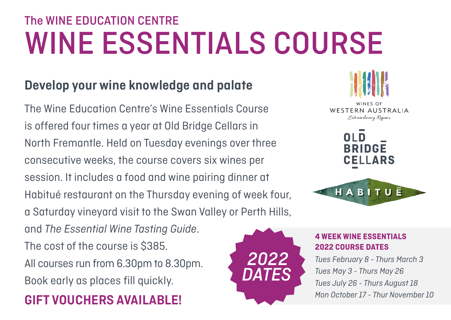# The WINE EDUCATION CENTRE WINE ESSENTIALS COURSE

### **Develop your wine knowledge and palate**

The Wine Education Centre's Wine Essentials Course is offered four times a year at Old Bridge Cellars in North Fremantle. Held on Tuesday evenings over three consecutive weeks, the course covers six wines per session. It includes a food and wine pairing dinner at Habitué restaurant on the Thursday evening of week four, a Saturday vineyard visit to the Swan Valley or Perth Hills, and *The Essential Wine Tasting Guide*. The cost of the course is \$385. All courses run from 6.30pm to 8.30pm. Book early as places fill quickly. **GIFT VOUCHERS AVAILABLE!**





#### **4 WEEK WINE ESSENTIALS 2022 COURSE DATES**

*Tues February 8 - Thurs March 3 Tues May 3 - Thurs May 26 Tues July 26 - Thurs August 18 Mon October 17 - Thur November 10*